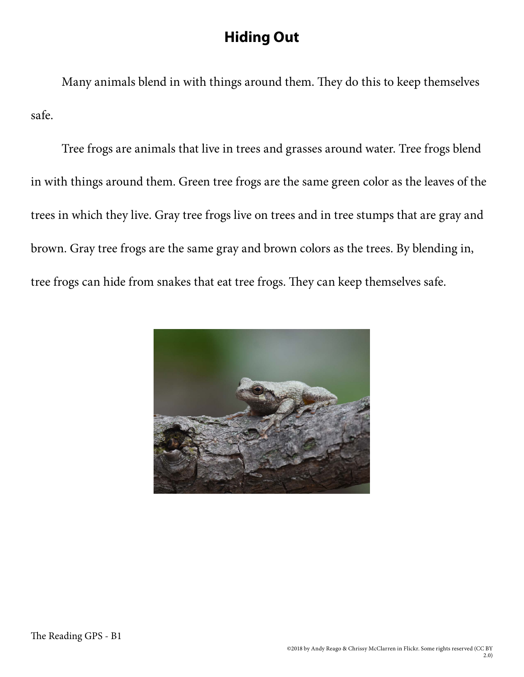## **Hiding Out**

Many animals blend in with things around them. They do this to keep themselves safe.

Tree frogs are animals that live in trees and grasses around water. Tree frogs blend in with things around them. Green tree frogs are the same green color as the leaves of the trees in which they live. Gray tree frogs live on trees and in tree stumps that are gray and brown. Gray tree frogs are the same gray and brown colors as the trees. By blending in, tree frogs can hide from snakes that eat tree frogs. They can keep themselves safe.